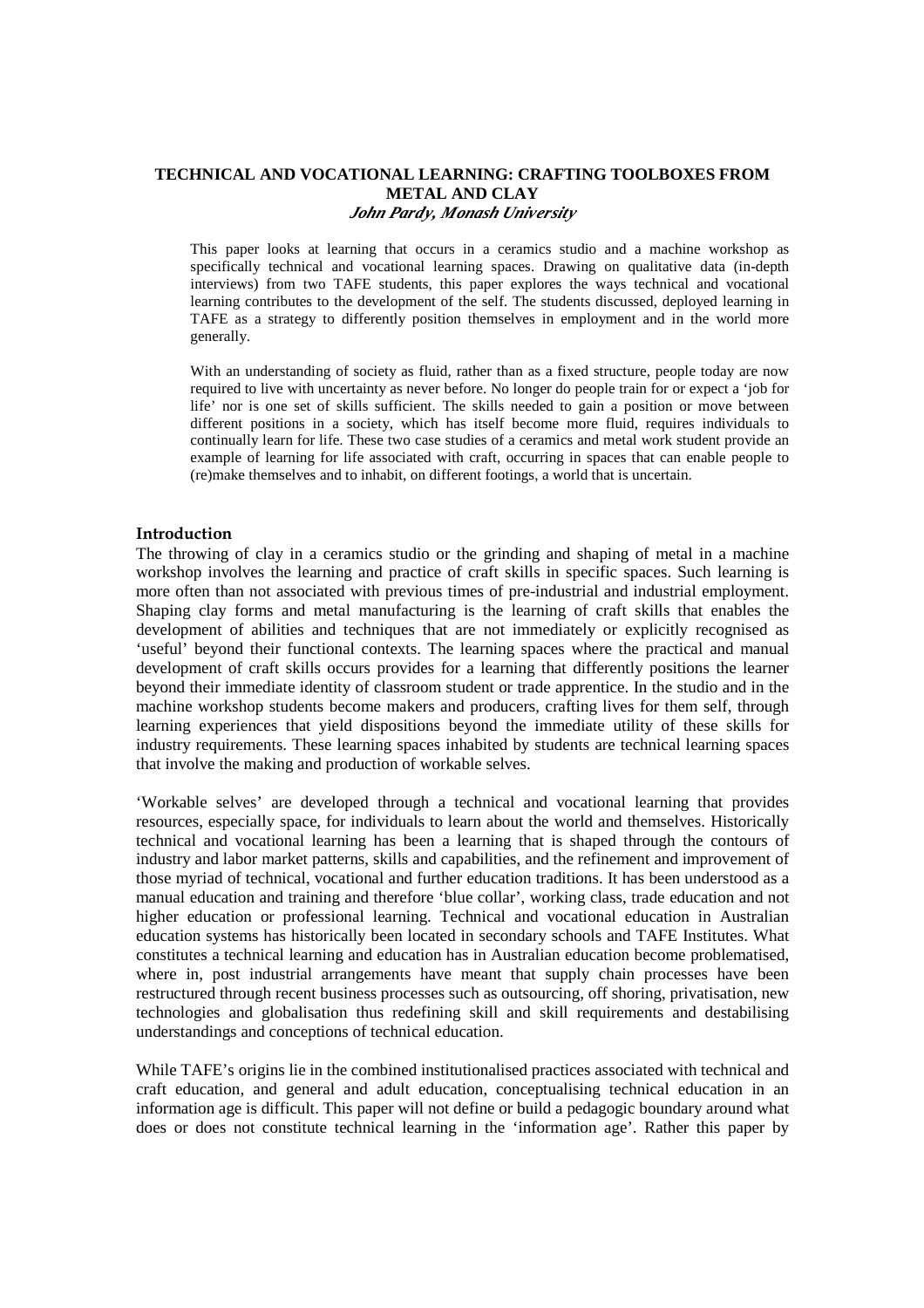# **TECHNICAL AND VOCATIONAL LEARNING: CRAFTING TOOLBOXES FROM METAL AND CLAY**  *John Pardy, Monash University*

This paper looks at learning that occurs in a ceramics studio and a machine workshop as specifically technical and vocational learning spaces. Drawing on qualitative data (in-depth interviews) from two TAFE students, this paper explores the ways technical and vocational learning contributes to the development of the self. The students discussed, deployed learning in TAFE as a strategy to differently position themselves in employment and in the world more generally.

With an understanding of society as fluid, rather than as a fixed structure, people today are now required to live with uncertainty as never before. No longer do people train for or expect a 'job for life' nor is one set of skills sufficient. The skills needed to gain a position or move between different positions in a society, which has itself become more fluid, requires individuals to continually learn for life. These two case studies of a ceramics and metal work student provide an example of learning for life associated with craft, occurring in spaces that can enable people to (re)make themselves and to inhabit, on different footings, a world that is uncertain.

#### Introduction

The throwing of clay in a ceramics studio or the grinding and shaping of metal in a machine workshop involves the learning and practice of craft skills in specific spaces. Such learning is more often than not associated with previous times of pre-industrial and industrial employment. Shaping clay forms and metal manufacturing is the learning of craft skills that enables the development of abilities and techniques that are not immediately or explicitly recognised as 'useful' beyond their functional contexts. The learning spaces where the practical and manual development of craft skills occurs provides for a learning that differently positions the learner beyond their immediate identity of classroom student or trade apprentice. In the studio and in the machine workshop students become makers and producers, crafting lives for them self, through learning experiences that yield dispositions beyond the immediate utility of these skills for industry requirements. These learning spaces inhabited by students are technical learning spaces that involve the making and production of workable selves.

'Workable selves' are developed through a technical and vocational learning that provides resources, especially space, for individuals to learn about the world and themselves. Historically technical and vocational learning has been a learning that is shaped through the contours of industry and labor market patterns, skills and capabilities, and the refinement and improvement of those myriad of technical, vocational and further education traditions. It has been understood as a manual education and training and therefore 'blue collar', working class, trade education and not higher education or professional learning. Technical and vocational education in Australian education systems has historically been located in secondary schools and TAFE Institutes. What constitutes a technical learning and education has in Australian education become problematised, where in, post industrial arrangements have meant that supply chain processes have been restructured through recent business processes such as outsourcing, off shoring, privatisation, new technologies and globalisation thus redefining skill and skill requirements and destabilising understandings and conceptions of technical education.

While TAFE's origins lie in the combined institutionalised practices associated with technical and craft education, and general and adult education, conceptualising technical education in an information age is difficult. This paper will not define or build a pedagogic boundary around what does or does not constitute technical learning in the 'information age'. Rather this paper by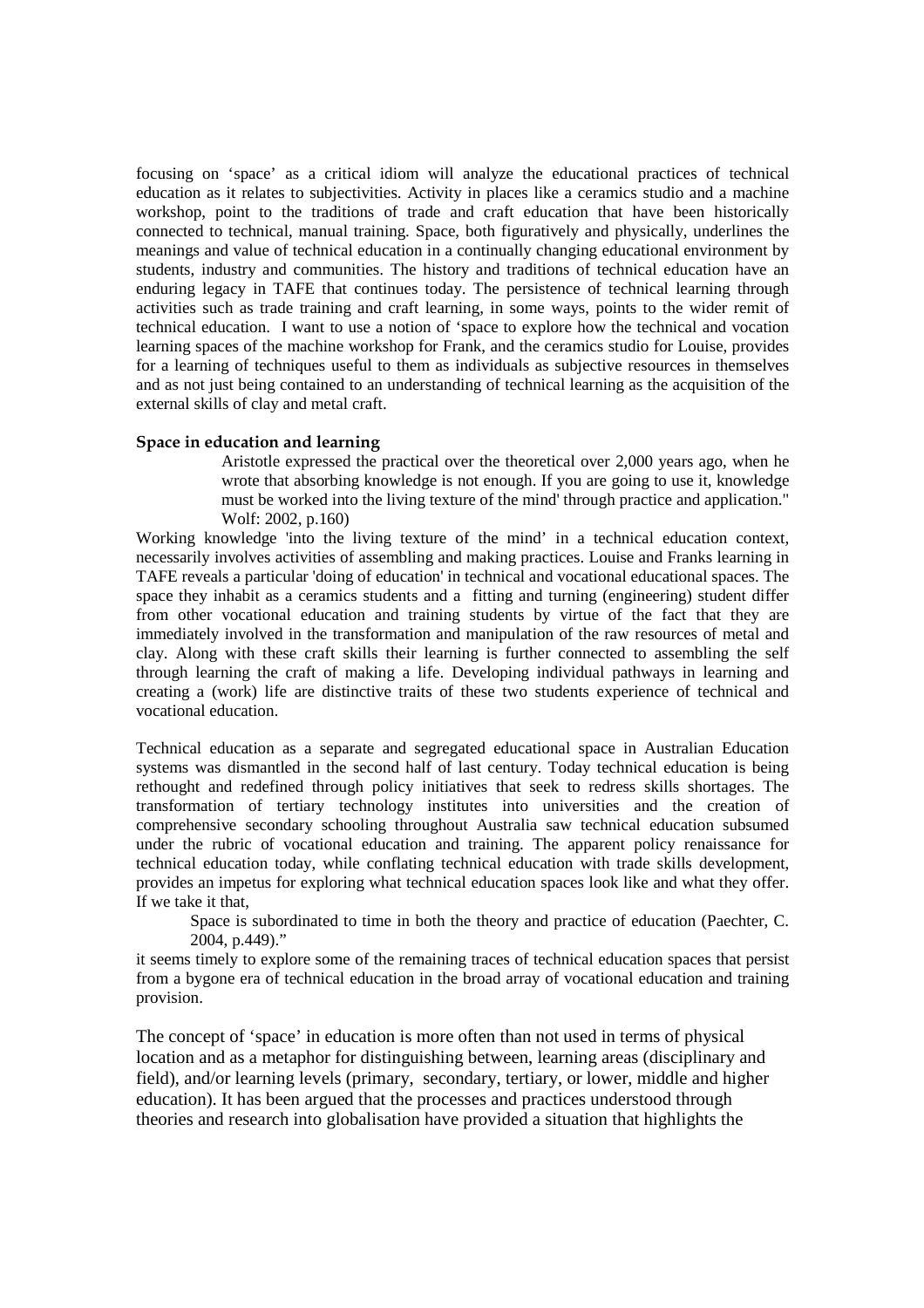focusing on 'space' as a critical idiom will analyze the educational practices of technical education as it relates to subjectivities. Activity in places like a ceramics studio and a machine workshop, point to the traditions of trade and craft education that have been historically connected to technical, manual training. Space, both figuratively and physically, underlines the meanings and value of technical education in a continually changing educational environment by students, industry and communities. The history and traditions of technical education have an enduring legacy in TAFE that continues today. The persistence of technical learning through activities such as trade training and craft learning, in some ways, points to the wider remit of technical education. I want to use a notion of 'space to explore how the technical and vocation learning spaces of the machine workshop for Frank, and the ceramics studio for Louise, provides for a learning of techniques useful to them as individuals as subjective resources in themselves and as not just being contained to an understanding of technical learning as the acquisition of the external skills of clay and metal craft.

## Space in education and learning

 Aristotle expressed the practical over the theoretical over 2,000 years ago, when he wrote that absorbing knowledge is not enough. If you are going to use it, knowledge must be worked into the living texture of the mind' through practice and application." Wolf: 2002, p.160)

Working knowledge 'into the living texture of the mind' in a technical education context, necessarily involves activities of assembling and making practices. Louise and Franks learning in TAFE reveals a particular 'doing of education' in technical and vocational educational spaces. The space they inhabit as a ceramics students and a fitting and turning (engineering) student differ from other vocational education and training students by virtue of the fact that they are immediately involved in the transformation and manipulation of the raw resources of metal and clay. Along with these craft skills their learning is further connected to assembling the self through learning the craft of making a life. Developing individual pathways in learning and creating a (work) life are distinctive traits of these two students experience of technical and vocational education.

Technical education as a separate and segregated educational space in Australian Education systems was dismantled in the second half of last century. Today technical education is being rethought and redefined through policy initiatives that seek to redress skills shortages. The transformation of tertiary technology institutes into universities and the creation of comprehensive secondary schooling throughout Australia saw technical education subsumed under the rubric of vocational education and training. The apparent policy renaissance for technical education today, while conflating technical education with trade skills development, provides an impetus for exploring what technical education spaces look like and what they offer. If we take it that,

 Space is subordinated to time in both the theory and practice of education (Paechter, C. 2004, p.449)."

it seems timely to explore some of the remaining traces of technical education spaces that persist from a bygone era of technical education in the broad array of vocational education and training provision.

The concept of 'space' in education is more often than not used in terms of physical location and as a metaphor for distinguishing between, learning areas (disciplinary and field), and/or learning levels (primary, secondary, tertiary, or lower, middle and higher education). It has been argued that the processes and practices understood through theories and research into globalisation have provided a situation that highlights the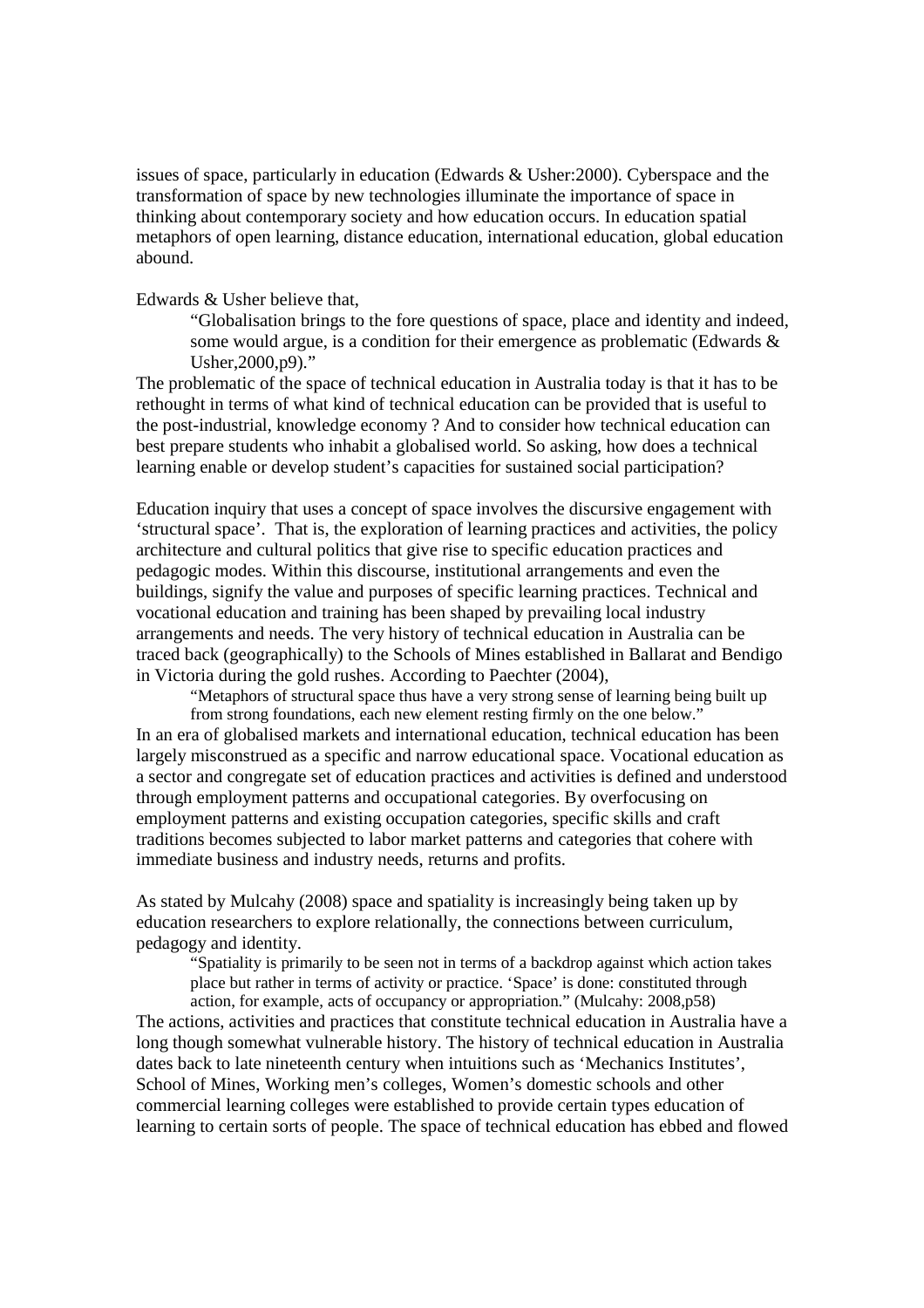issues of space, particularly in education (Edwards & Usher:2000). Cyberspace and the transformation of space by new technologies illuminate the importance of space in thinking about contemporary society and how education occurs. In education spatial metaphors of open learning, distance education, international education, global education abound.

Edwards & Usher believe that,

"Globalisation brings to the fore questions of space, place and identity and indeed, some would argue, is a condition for their emergence as problematic (Edwards & Usher,2000,p9)."

The problematic of the space of technical education in Australia today is that it has to be rethought in terms of what kind of technical education can be provided that is useful to the post-industrial, knowledge economy ? And to consider how technical education can best prepare students who inhabit a globalised world. So asking, how does a technical learning enable or develop student's capacities for sustained social participation?

Education inquiry that uses a concept of space involves the discursive engagement with 'structural space'. That is, the exploration of learning practices and activities, the policy architecture and cultural politics that give rise to specific education practices and pedagogic modes. Within this discourse, institutional arrangements and even the buildings, signify the value and purposes of specific learning practices. Technical and vocational education and training has been shaped by prevailing local industry arrangements and needs. The very history of technical education in Australia can be traced back (geographically) to the Schools of Mines established in Ballarat and Bendigo in Victoria during the gold rushes. According to Paechter (2004),

"Metaphors of structural space thus have a very strong sense of learning being built up from strong foundations, each new element resting firmly on the one below."

In an era of globalised markets and international education, technical education has been largely misconstrued as a specific and narrow educational space. Vocational education as a sector and congregate set of education practices and activities is defined and understood through employment patterns and occupational categories. By overfocusing on employment patterns and existing occupation categories, specific skills and craft traditions becomes subjected to labor market patterns and categories that cohere with immediate business and industry needs, returns and profits.

As stated by Mulcahy (2008) space and spatiality is increasingly being taken up by education researchers to explore relationally, the connections between curriculum, pedagogy and identity.

"Spatiality is primarily to be seen not in terms of a backdrop against which action takes place but rather in terms of activity or practice. 'Space' is done: constituted through

action, for example, acts of occupancy or appropriation." (Mulcahy: 2008,p58) The actions, activities and practices that constitute technical education in Australia have a long though somewhat vulnerable history. The history of technical education in Australia dates back to late nineteenth century when intuitions such as 'Mechanics Institutes', School of Mines, Working men's colleges, Women's domestic schools and other commercial learning colleges were established to provide certain types education of learning to certain sorts of people. The space of technical education has ebbed and flowed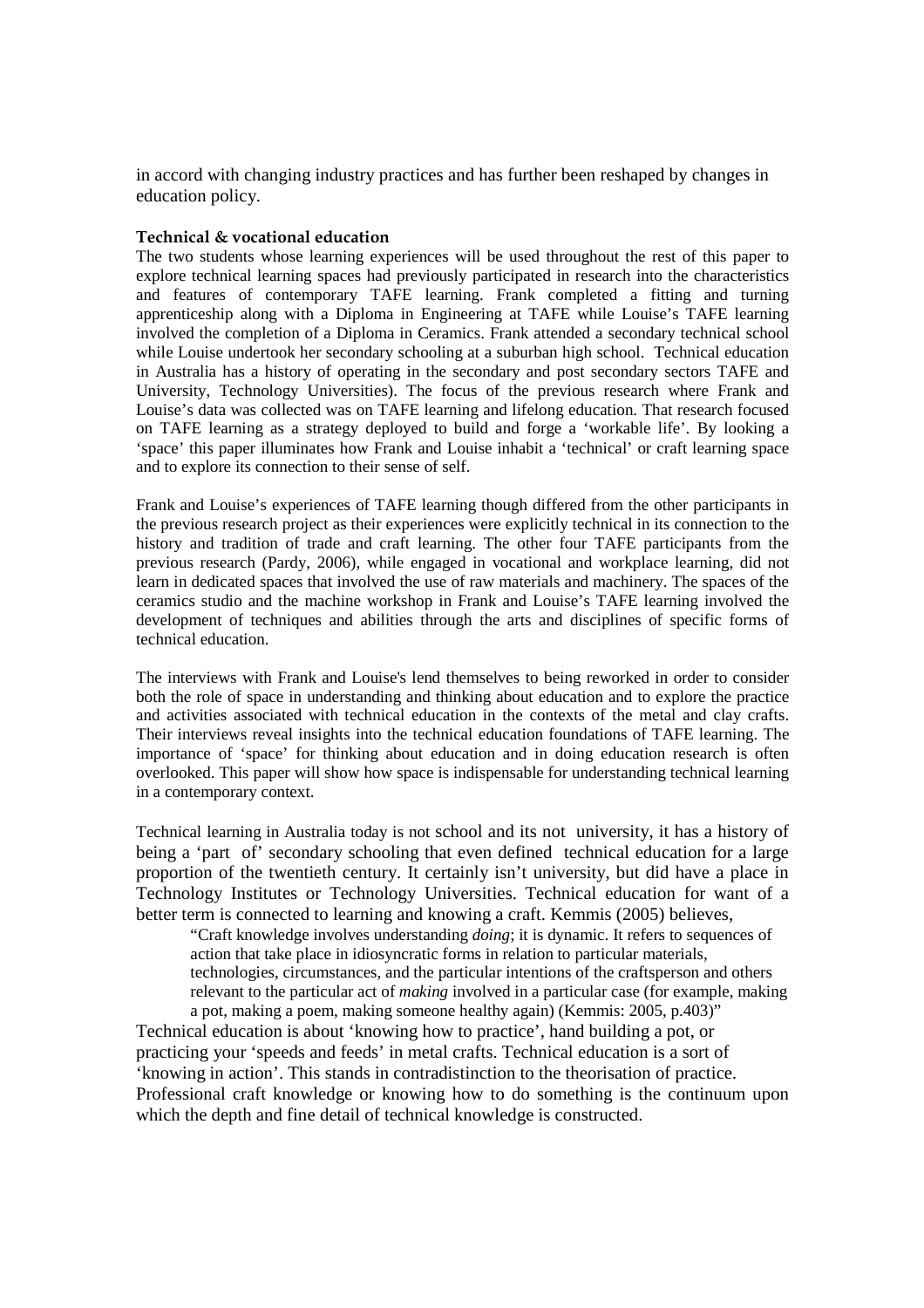in accord with changing industry practices and has further been reshaped by changes in education policy.

## Technical & vocational education

The two students whose learning experiences will be used throughout the rest of this paper to explore technical learning spaces had previously participated in research into the characteristics and features of contemporary TAFE learning. Frank completed a fitting and turning apprenticeship along with a Diploma in Engineering at TAFE while Louise's TAFE learning involved the completion of a Diploma in Ceramics. Frank attended a secondary technical school while Louise undertook her secondary schooling at a suburban high school. Technical education in Australia has a history of operating in the secondary and post secondary sectors TAFE and University, Technology Universities). The focus of the previous research where Frank and Louise's data was collected was on TAFE learning and lifelong education. That research focused on TAFE learning as a strategy deployed to build and forge a 'workable life'. By looking a 'space' this paper illuminates how Frank and Louise inhabit a 'technical' or craft learning space and to explore its connection to their sense of self.

Frank and Louise's experiences of TAFE learning though differed from the other participants in the previous research project as their experiences were explicitly technical in its connection to the history and tradition of trade and craft learning. The other four TAFE participants from the previous research (Pardy, 2006), while engaged in vocational and workplace learning, did not learn in dedicated spaces that involved the use of raw materials and machinery. The spaces of the ceramics studio and the machine workshop in Frank and Louise's TAFE learning involved the development of techniques and abilities through the arts and disciplines of specific forms of technical education.

The interviews with Frank and Louise's lend themselves to being reworked in order to consider both the role of space in understanding and thinking about education and to explore the practice and activities associated with technical education in the contexts of the metal and clay crafts. Their interviews reveal insights into the technical education foundations of TAFE learning. The importance of 'space' for thinking about education and in doing education research is often overlooked. This paper will show how space is indispensable for understanding technical learning in a contemporary context.

Technical learning in Australia today is not school and its not university, it has a history of being a 'part of' secondary schooling that even defined technical education for a large proportion of the twentieth century. It certainly isn't university, but did have a place in Technology Institutes or Technology Universities. Technical education for want of a better term is connected to learning and knowing a craft. Kemmis (2005) believes,

"Craft knowledge involves understanding *doing*; it is dynamic. It refers to sequences of action that take place in idiosyncratic forms in relation to particular materials, technologies, circumstances, and the particular intentions of the craftsperson and others relevant to the particular act of *making* involved in a particular case (for example, making a pot, making a poem, making someone healthy again) (Kemmis: 2005, p.403)"

Technical education is about 'knowing how to practice', hand building a pot, or practicing your 'speeds and feeds' in metal crafts. Technical education is a sort of 'knowing in action'. This stands in contradistinction to the theorisation of practice. Professional craft knowledge or knowing how to do something is the continuum upon which the depth and fine detail of technical knowledge is constructed.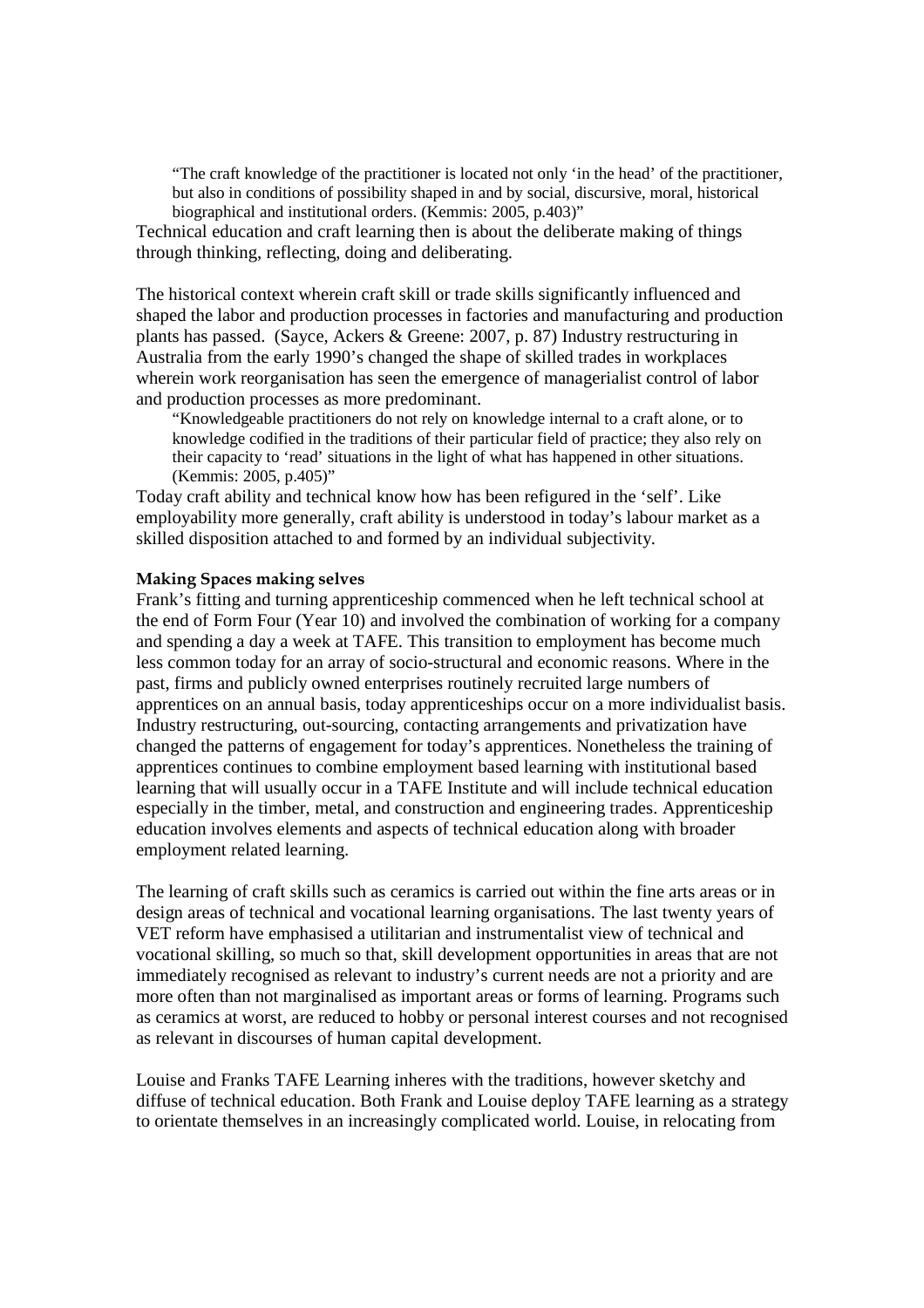"The craft knowledge of the practitioner is located not only 'in the head' of the practitioner, but also in conditions of possibility shaped in and by social, discursive, moral, historical biographical and institutional orders. (Kemmis: 2005, p.403)"

Technical education and craft learning then is about the deliberate making of things through thinking, reflecting, doing and deliberating.

The historical context wherein craft skill or trade skills significantly influenced and shaped the labor and production processes in factories and manufacturing and production plants has passed. (Sayce, Ackers & Greene: 2007, p. 87) Industry restructuring in Australia from the early 1990's changed the shape of skilled trades in workplaces wherein work reorganisation has seen the emergence of managerialist control of labor and production processes as more predominant.

"Knowledgeable practitioners do not rely on knowledge internal to a craft alone, or to knowledge codified in the traditions of their particular field of practice; they also rely on their capacity to 'read' situations in the light of what has happened in other situations. (Kemmis: 2005, p.405)"

Today craft ability and technical know how has been refigured in the 'self'. Like employability more generally, craft ability is understood in today's labour market as a skilled disposition attached to and formed by an individual subjectivity.

## Making Spaces making selves

Frank's fitting and turning apprenticeship commenced when he left technical school at the end of Form Four (Year 10) and involved the combination of working for a company and spending a day a week at TAFE. This transition to employment has become much less common today for an array of socio-structural and economic reasons. Where in the past, firms and publicly owned enterprises routinely recruited large numbers of apprentices on an annual basis, today apprenticeships occur on a more individualist basis. Industry restructuring, out-sourcing, contacting arrangements and privatization have changed the patterns of engagement for today's apprentices. Nonetheless the training of apprentices continues to combine employment based learning with institutional based learning that will usually occur in a TAFE Institute and will include technical education especially in the timber, metal, and construction and engineering trades. Apprenticeship education involves elements and aspects of technical education along with broader employment related learning.

The learning of craft skills such as ceramics is carried out within the fine arts areas or in design areas of technical and vocational learning organisations. The last twenty years of VET reform have emphasised a utilitarian and instrumentalist view of technical and vocational skilling, so much so that, skill development opportunities in areas that are not immediately recognised as relevant to industry's current needs are not a priority and are more often than not marginalised as important areas or forms of learning. Programs such as ceramics at worst, are reduced to hobby or personal interest courses and not recognised as relevant in discourses of human capital development.

Louise and Franks TAFE Learning inheres with the traditions, however sketchy and diffuse of technical education. Both Frank and Louise deploy TAFE learning as a strategy to orientate themselves in an increasingly complicated world. Louise, in relocating from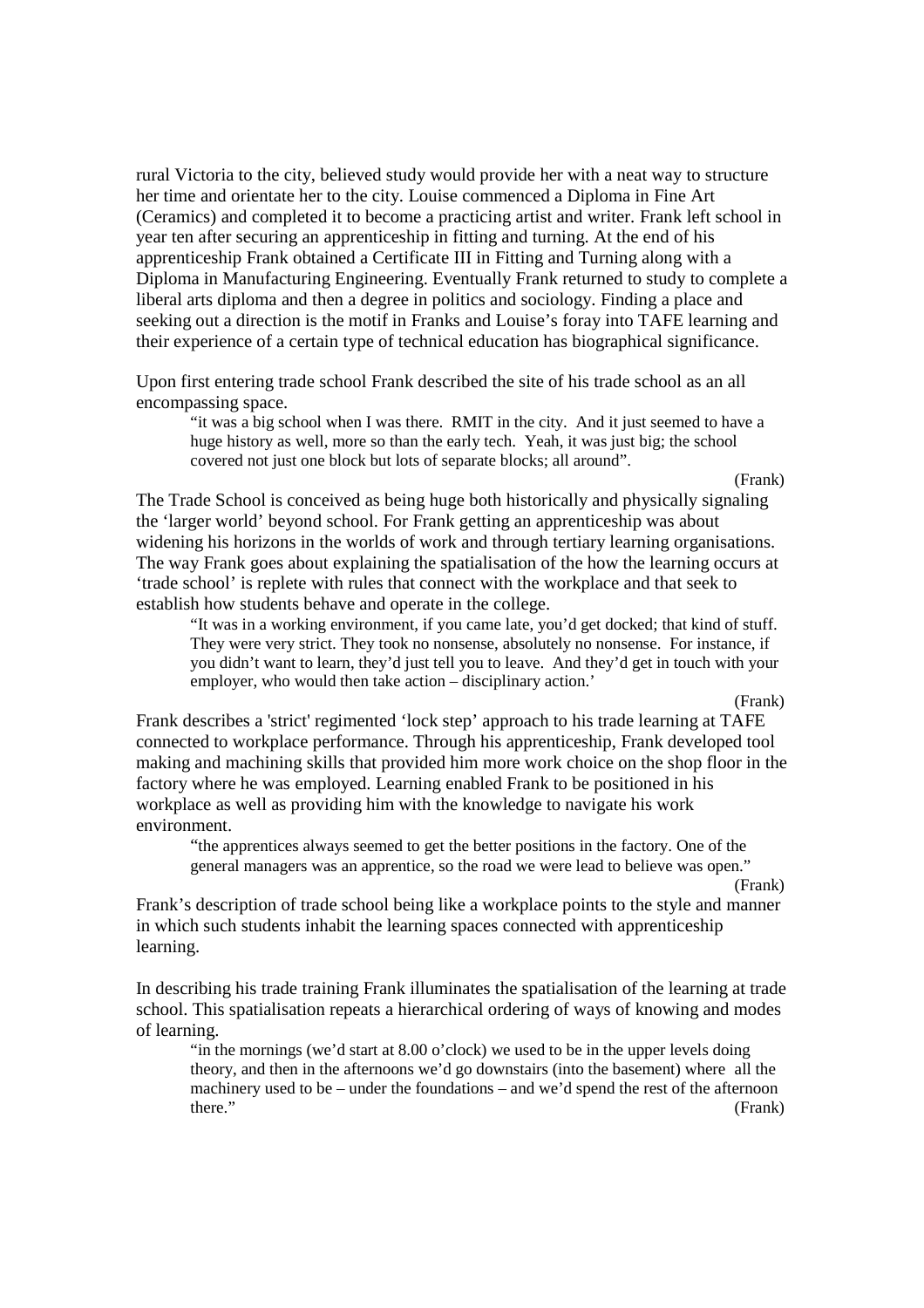rural Victoria to the city, believed study would provide her with a neat way to structure her time and orientate her to the city. Louise commenced a Diploma in Fine Art (Ceramics) and completed it to become a practicing artist and writer. Frank left school in year ten after securing an apprenticeship in fitting and turning. At the end of his apprenticeship Frank obtained a Certificate III in Fitting and Turning along with a Diploma in Manufacturing Engineering. Eventually Frank returned to study to complete a liberal arts diploma and then a degree in politics and sociology. Finding a place and seeking out a direction is the motif in Franks and Louise's foray into TAFE learning and their experience of a certain type of technical education has biographical significance.

Upon first entering trade school Frank described the site of his trade school as an all encompassing space.

"it was a big school when I was there. RMIT in the city. And it just seemed to have a huge history as well, more so than the early tech. Yeah, it was just big; the school covered not just one block but lots of separate blocks; all around".

(Frank)

The Trade School is conceived as being huge both historically and physically signaling the 'larger world' beyond school. For Frank getting an apprenticeship was about widening his horizons in the worlds of work and through tertiary learning organisations. The way Frank goes about explaining the spatialisation of the how the learning occurs at 'trade school' is replete with rules that connect with the workplace and that seek to establish how students behave and operate in the college.

"It was in a working environment, if you came late, you'd get docked; that kind of stuff. They were very strict. They took no nonsense, absolutely no nonsense. For instance, if you didn't want to learn, they'd just tell you to leave. And they'd get in touch with your employer, who would then take action – disciplinary action.'

(Frank)

Frank describes a 'strict' regimented 'lock step' approach to his trade learning at TAFE connected to workplace performance. Through his apprenticeship, Frank developed tool making and machining skills that provided him more work choice on the shop floor in the factory where he was employed. Learning enabled Frank to be positioned in his workplace as well as providing him with the knowledge to navigate his work environment.

 "the apprentices always seemed to get the better positions in the factory. One of the general managers was an apprentice, so the road we were lead to believe was open."

(Frank)

Frank's description of trade school being like a workplace points to the style and manner in which such students inhabit the learning spaces connected with apprenticeship learning.

In describing his trade training Frank illuminates the spatialisation of the learning at trade school. This spatialisation repeats a hierarchical ordering of ways of knowing and modes of learning.

"in the mornings (we'd start at 8.00 o'clock) we used to be in the upper levels doing theory, and then in the afternoons we'd go downstairs (into the basement) where all the machinery used to be – under the foundations – and we'd spend the rest of the afternoon there." (Frank)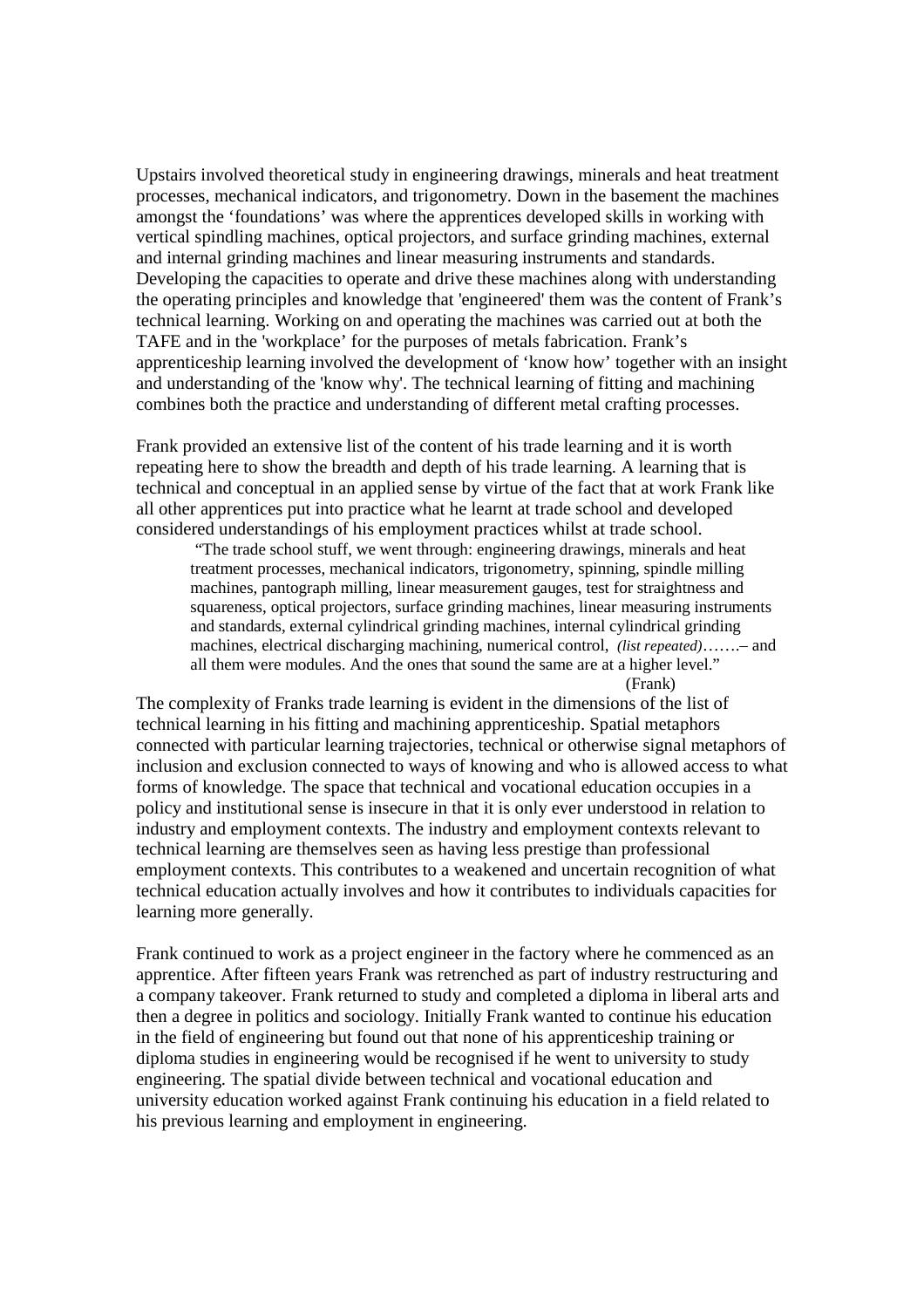Upstairs involved theoretical study in engineering drawings, minerals and heat treatment processes, mechanical indicators, and trigonometry. Down in the basement the machines amongst the 'foundations' was where the apprentices developed skills in working with vertical spindling machines, optical projectors, and surface grinding machines, external and internal grinding machines and linear measuring instruments and standards. Developing the capacities to operate and drive these machines along with understanding the operating principles and knowledge that 'engineered' them was the content of Frank's technical learning. Working on and operating the machines was carried out at both the TAFE and in the 'workplace' for the purposes of metals fabrication. Frank's apprenticeship learning involved the development of 'know how' together with an insight and understanding of the 'know why'. The technical learning of fitting and machining combines both the practice and understanding of different metal crafting processes.

Frank provided an extensive list of the content of his trade learning and it is worth repeating here to show the breadth and depth of his trade learning. A learning that is technical and conceptual in an applied sense by virtue of the fact that at work Frank like all other apprentices put into practice what he learnt at trade school and developed considered understandings of his employment practices whilst at trade school.

"The trade school stuff, we went through: engineering drawings, minerals and heat treatment processes, mechanical indicators, trigonometry, spinning, spindle milling machines, pantograph milling, linear measurement gauges, test for straightness and squareness, optical projectors, surface grinding machines, linear measuring instruments and standards, external cylindrical grinding machines, internal cylindrical grinding machines, electrical discharging machining, numerical control, *(list repeated)*…….– and all them were modules. And the ones that sound the same are at a higher level." (Frank)

The complexity of Franks trade learning is evident in the dimensions of the list of technical learning in his fitting and machining apprenticeship. Spatial metaphors connected with particular learning trajectories, technical or otherwise signal metaphors of inclusion and exclusion connected to ways of knowing and who is allowed access to what forms of knowledge. The space that technical and vocational education occupies in a policy and institutional sense is insecure in that it is only ever understood in relation to industry and employment contexts. The industry and employment contexts relevant to technical learning are themselves seen as having less prestige than professional employment contexts. This contributes to a weakened and uncertain recognition of what technical education actually involves and how it contributes to individuals capacities for learning more generally.

Frank continued to work as a project engineer in the factory where he commenced as an apprentice. After fifteen years Frank was retrenched as part of industry restructuring and a company takeover. Frank returned to study and completed a diploma in liberal arts and then a degree in politics and sociology. Initially Frank wanted to continue his education in the field of engineering but found out that none of his apprenticeship training or diploma studies in engineering would be recognised if he went to university to study engineering. The spatial divide between technical and vocational education and university education worked against Frank continuing his education in a field related to his previous learning and employment in engineering.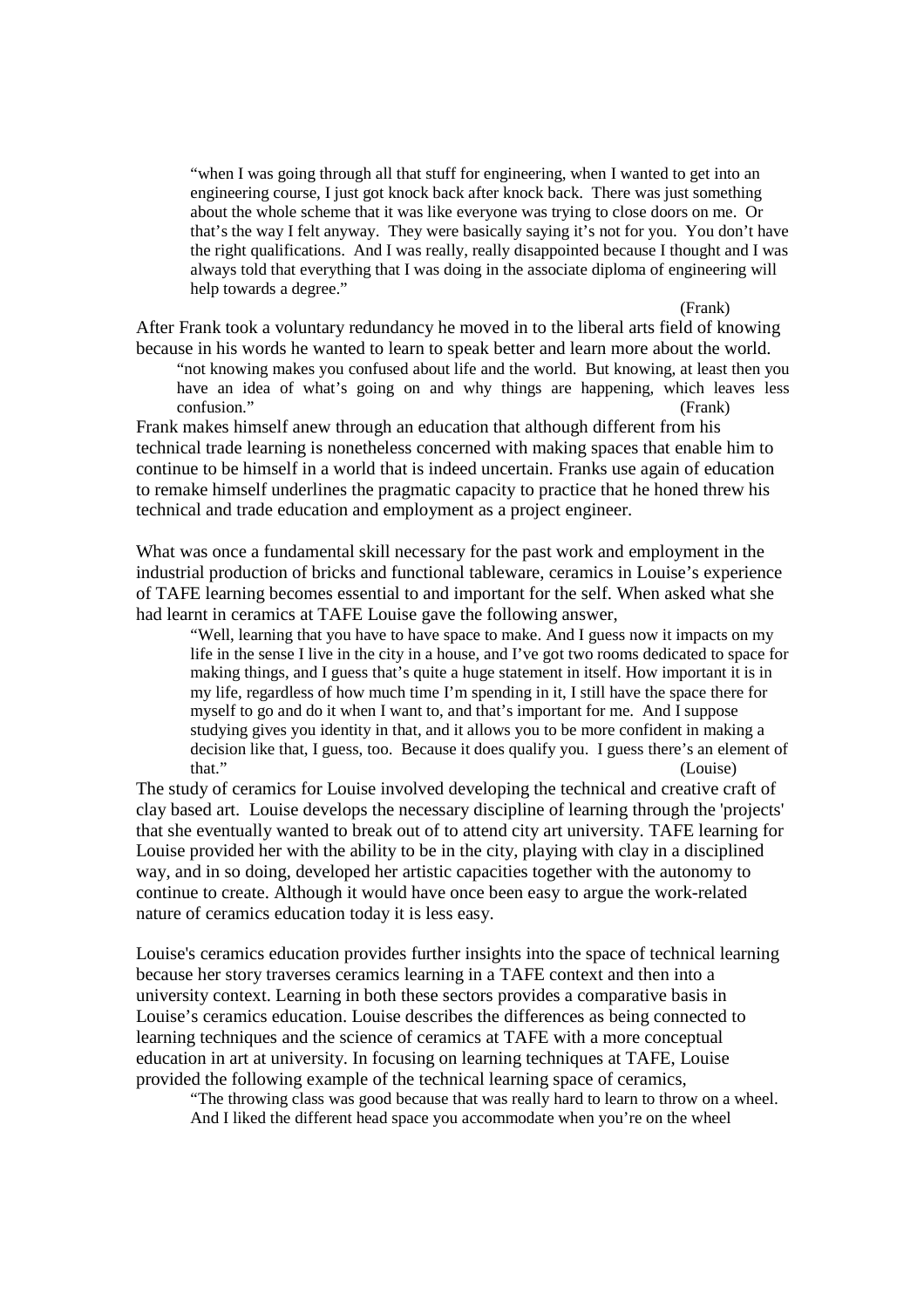"when I was going through all that stuff for engineering, when I wanted to get into an engineering course, I just got knock back after knock back. There was just something about the whole scheme that it was like everyone was trying to close doors on me. Or that's the way I felt anyway. They were basically saying it's not for you. You don't have the right qualifications. And I was really, really disappointed because I thought and I was always told that everything that I was doing in the associate diploma of engineering will help towards a degree."

(Frank)

After Frank took a voluntary redundancy he moved in to the liberal arts field of knowing because in his words he wanted to learn to speak better and learn more about the world.

"not knowing makes you confused about life and the world. But knowing, at least then you have an idea of what's going on and why things are happening, which leaves less confusion." (Frank)

Frank makes himself anew through an education that although different from his technical trade learning is nonetheless concerned with making spaces that enable him to continue to be himself in a world that is indeed uncertain. Franks use again of education to remake himself underlines the pragmatic capacity to practice that he honed threw his technical and trade education and employment as a project engineer.

What was once a fundamental skill necessary for the past work and employment in the industrial production of bricks and functional tableware, ceramics in Louise's experience of TAFE learning becomes essential to and important for the self. When asked what she had learnt in ceramics at TAFE Louise gave the following answer,

"Well, learning that you have to have space to make. And I guess now it impacts on my life in the sense I live in the city in a house, and I've got two rooms dedicated to space for making things, and I guess that's quite a huge statement in itself. How important it is in my life, regardless of how much time I'm spending in it, I still have the space there for myself to go and do it when I want to, and that's important for me. And I suppose studying gives you identity in that, and it allows you to be more confident in making a decision like that, I guess, too. Because it does qualify you. I guess there's an element of that." (Louise)

The study of ceramics for Louise involved developing the technical and creative craft of clay based art. Louise develops the necessary discipline of learning through the 'projects' that she eventually wanted to break out of to attend city art university. TAFE learning for Louise provided her with the ability to be in the city, playing with clay in a disciplined way, and in so doing, developed her artistic capacities together with the autonomy to continue to create. Although it would have once been easy to argue the work-related nature of ceramics education today it is less easy.

Louise's ceramics education provides further insights into the space of technical learning because her story traverses ceramics learning in a TAFE context and then into a university context. Learning in both these sectors provides a comparative basis in Louise's ceramics education. Louise describes the differences as being connected to learning techniques and the science of ceramics at TAFE with a more conceptual education in art at university. In focusing on learning techniques at TAFE, Louise provided the following example of the technical learning space of ceramics,

"The throwing class was good because that was really hard to learn to throw on a wheel. And I liked the different head space you accommodate when you're on the wheel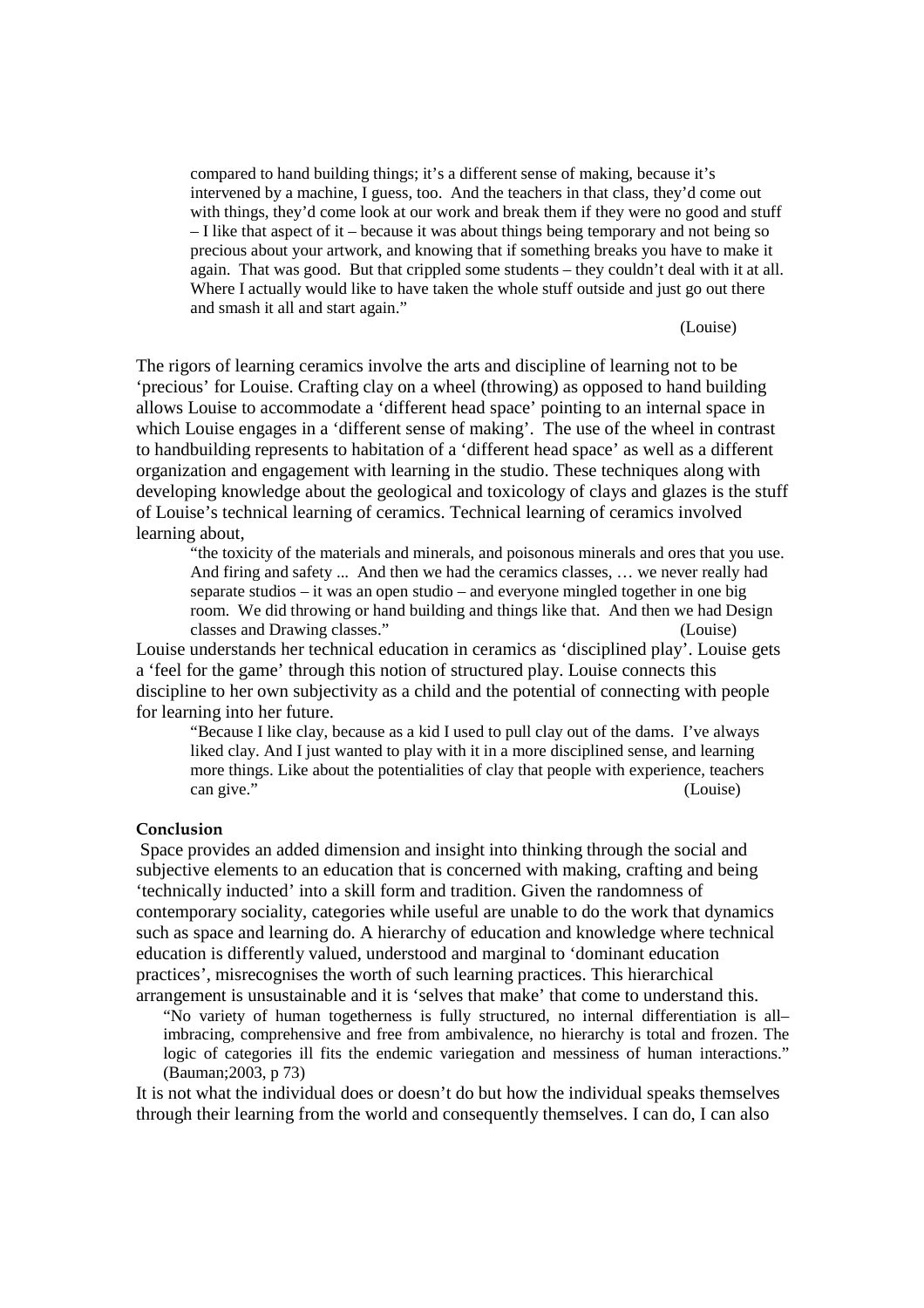compared to hand building things; it's a different sense of making, because it's intervened by a machine, I guess, too. And the teachers in that class, they'd come out with things, they'd come look at our work and break them if they were no good and stuff – I like that aspect of it – because it was about things being temporary and not being so precious about your artwork, and knowing that if something breaks you have to make it again. That was good. But that crippled some students – they couldn't deal with it at all. Where I actually would like to have taken the whole stuff outside and just go out there and smash it all and start again."

#### (Louise)

The rigors of learning ceramics involve the arts and discipline of learning not to be 'precious' for Louise. Crafting clay on a wheel (throwing) as opposed to hand building allows Louise to accommodate a 'different head space' pointing to an internal space in which Louise engages in a 'different sense of making'. The use of the wheel in contrast to handbuilding represents to habitation of a 'different head space' as well as a different organization and engagement with learning in the studio. These techniques along with developing knowledge about the geological and toxicology of clays and glazes is the stuff of Louise's technical learning of ceramics. Technical learning of ceramics involved learning about,

"the toxicity of the materials and minerals, and poisonous minerals and ores that you use. And firing and safety ... And then we had the ceramics classes, … we never really had separate studios – it was an open studio – and everyone mingled together in one big room. We did throwing or hand building and things like that. And then we had Design classes and Drawing classes." (Louise)

Louise understands her technical education in ceramics as 'disciplined play'. Louise gets a 'feel for the game' through this notion of structured play. Louise connects this discipline to her own subjectivity as a child and the potential of connecting with people for learning into her future.

"Because I like clay, because as a kid I used to pull clay out of the dams. I've always liked clay. And I just wanted to play with it in a more disciplined sense, and learning more things. Like about the potentialities of clay that people with experience, teachers can give." (Louise)

## Conclusion

Space provides an added dimension and insight into thinking through the social and subjective elements to an education that is concerned with making, crafting and being 'technically inducted' into a skill form and tradition. Given the randomness of contemporary sociality, categories while useful are unable to do the work that dynamics such as space and learning do. A hierarchy of education and knowledge where technical education is differently valued, understood and marginal to 'dominant education practices', misrecognises the worth of such learning practices. This hierarchical arrangement is unsustainable and it is 'selves that make' that come to understand this.

"No variety of human togetherness is fully structured, no internal differentiation is all– imbracing, comprehensive and free from ambivalence, no hierarchy is total and frozen. The logic of categories ill fits the endemic variegation and messiness of human interactions." (Bauman;2003, p 73)

It is not what the individual does or doesn't do but how the individual speaks themselves through their learning from the world and consequently themselves. I can do, I can also